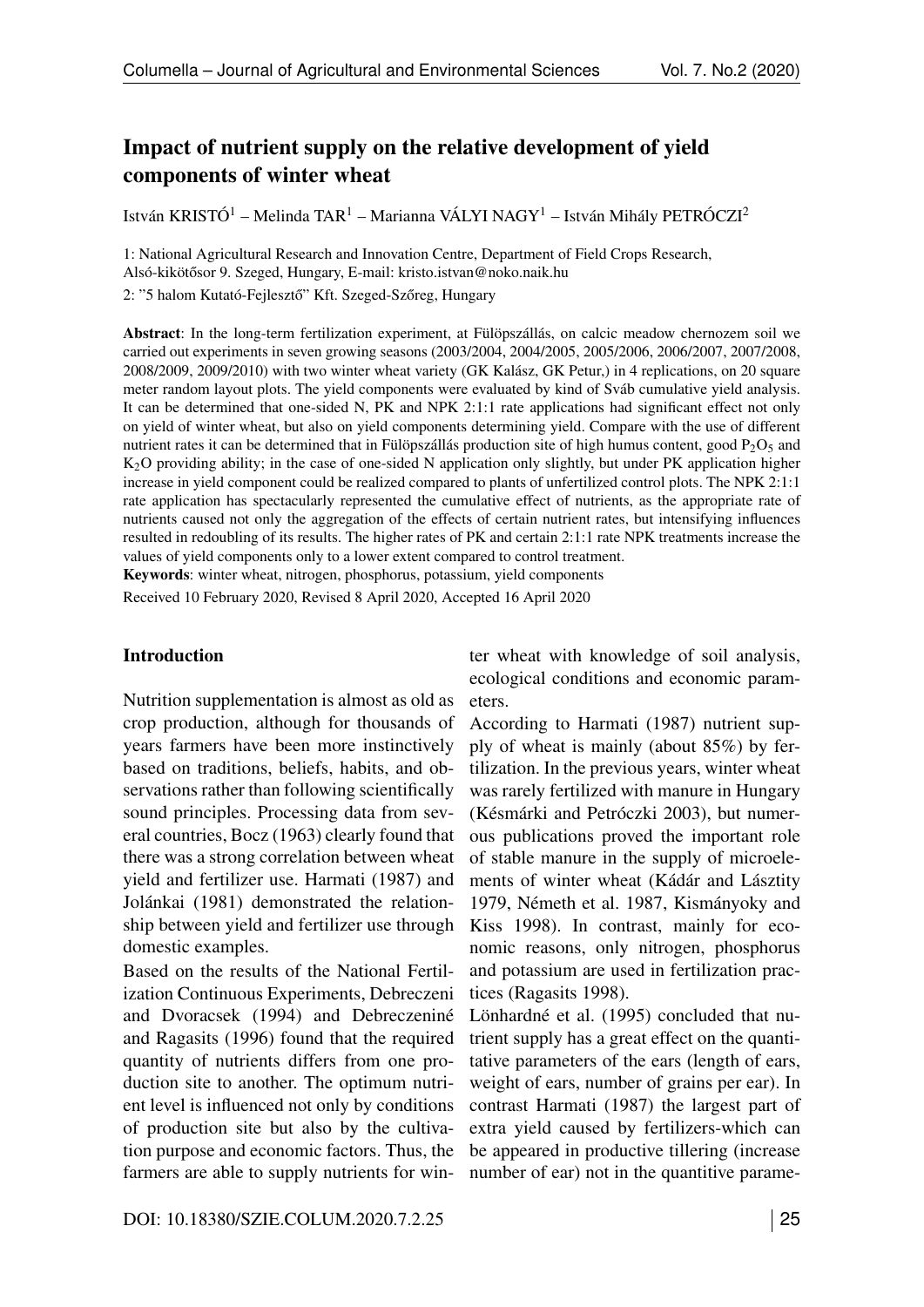# <span id="page-0-0"></span>Impact of nutrient supply on the relative development of yield components of winter wheat

István KRISTÓ1 – Melinda TAR<sup>1</sup> – Marianna VÁLYI NAGY1 – István Mihály PETRÓCZI2

1: National Agricultural Research and Innovation Centre, Department of Field Crops Research, Alsó-kikötősor 9. Szeged, Hungary, E-mail: [kristo.istvan@noko.naik.hu](mailto:kristo.istvan@noko.naik.hu)

2: "5 halom Kutató-Fejlesztő" Kft. Szeged-Szőreg, Hungary

Abstract: In the long-term fertilization experiment, at Fülöpszállás, on calcic meadow chernozem soil we carried out experiments in seven growing seasons (2003/2004, 2004/2005, 2005/2006, 2006/2007, 2007/2008, 2008/2009, 2009/2010) with two winter wheat variety (GK Kalász, GK Petur,) in 4 replications, on 20 square meter random layout plots. The yield components were evaluated by kind of Sváb cumulative yield analysis. It can be determined that one-sided N, PK and NPK 2:1:1 rate applications had significant effect not only on yield of winter wheat, but also on yield components determining yield. Compare with the use of different nutrient rates it can be determined that in Fülöpszállás production site of high humus content, good  $P_2O_5$  and K2O providing ability; in the case of one-sided N application only slightly, but under PK application higher increase in yield component could be realized compared to plants of unfertilized control plots. The NPK 2:1:1 rate application has spectacularly represented the cumulative effect of nutrients, as the appropriate rate of nutrients caused not only the aggregation of the effects of certain nutrient rates, but intensifying influences resulted in redoubling of its results. The higher rates of PK and certain 2:1:1 rate NPK treatments increase the values of yield components only to a lower extent compared to control treatment.

<span id="page-0-3"></span><span id="page-0-1"></span>Keywords: winter wheat, nitrogen, phosphorus, potassium, yield components

Received 10 February 2020, Revised 8 April 2020, Accepted 16 April 2020

#### Introduction

Nutrition supplementation is almost as old as crop production, although for thousands of years farmers have been more instinctively based on traditions, beliefs, habits, and observations rather than following scientifically sound principles. Processing data from several countries, Bocz (1963) clearly found that there was a strong correlation between wheat yield and fertilizer use. Harmati (1987) and Jolánkai (1981) demonstrated the relationship between yield and fertilizer use through domestic examples.

<span id="page-0-2"></span>Based on the results of the National Fertilization Continuous Experiments, Debreczeni and Dvoracsek (1994) and Debreczeniné and Ragasits (1996) found that the required quantity of nutrients differs from one production site to another. The optimum nutrient level is influenced not only by conditions of production site but also by the cultivation purpose and economic factors. Thus, the farmers are able to supply nutrients for winter wheat with knowledge of soil analysis, ecological conditions and economic parameters.

According to Harmati (1987) nutrient supply of wheat is mainly (about 85%) by fertilization. In the previous years, winter wheat was rarely fertilized with manure in Hungary (Késmárki and Petróczki 2003), but numerous publications proved the important role of stable manure in the supply of microelements of winter wheat (Kádár and Lásztity 1979, Németh et al. 1987, Kismányoky and Kiss 1998). In contrast, mainly for economic reasons, only nitrogen, phosphorus and potassium are used in fertilization practices (Ragasits 1998).

Lönhardné et al. (1995) concluded that nutrient supply has a great effect on the quantitative parameters of the ears (length of ears, weight of ears, number of grains per ear). In contrast Harmati (1987) the largest part of extra yield caused by fertilizers-which can be appeared in productive tillering (increase number of ear) not in the quantitive parame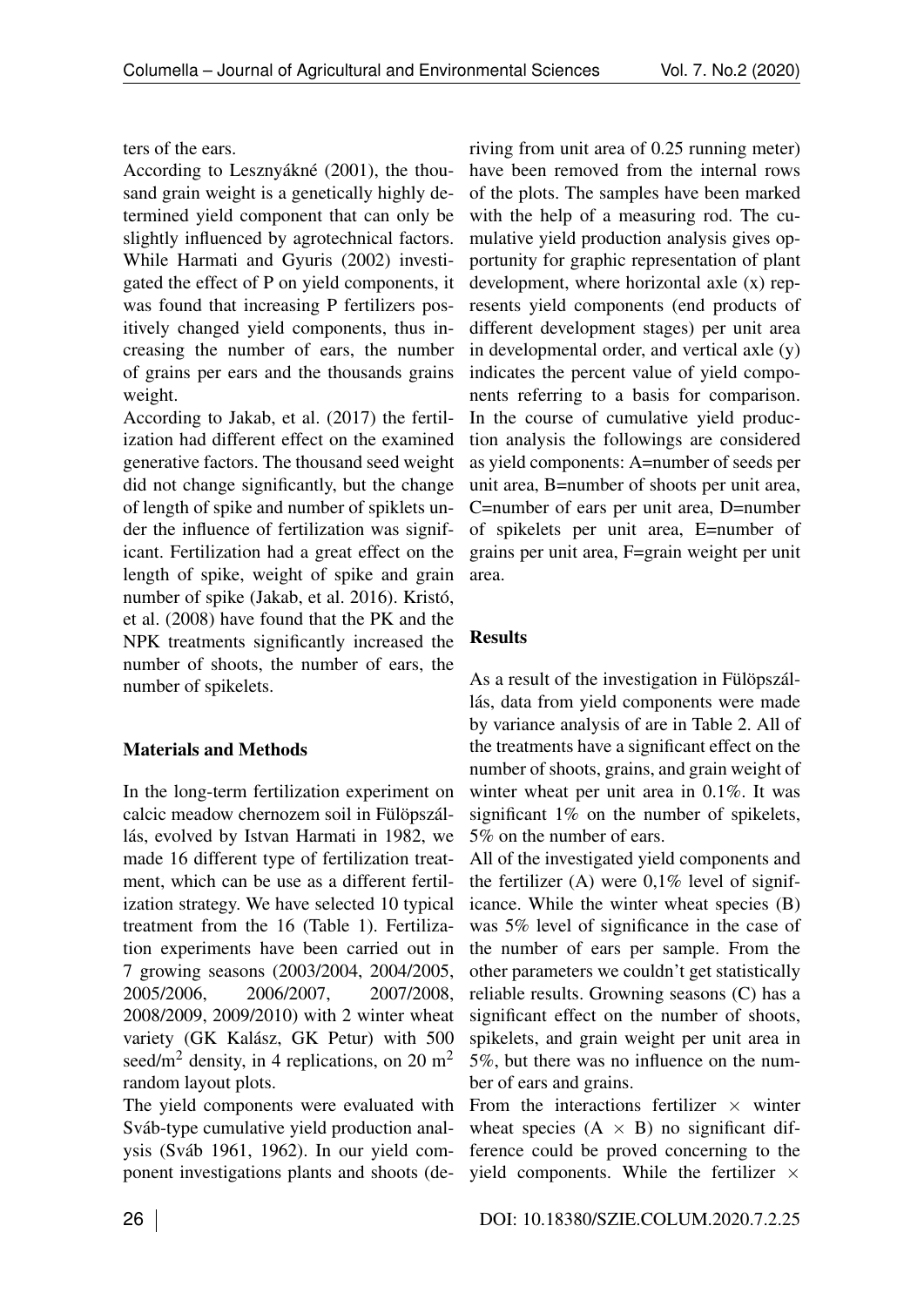ters of the ears.

According to Lesznyákné (2001), the thousand grain weight is a genetically highly determined yield component that can only be slightly influenced by agrotechnical factors. While Harmati and Gyuris (2002) investigated the effect of P on yield components, it was found that increasing P fertilizers positively changed yield components, thus increasing the number of ears, the number of grains per ears and the thousands grains weight.

According to Jakab, et al. (2017) the fertilization had different effect on the examined generative factors. The thousand seed weight did not change significantly, but the change of length of spike and number of spiklets under the influence of fertilization was significant. Fertilization had a great effect on the length of spike, weight of spike and grain number of spike (Jakab, et al. 2016). Kristó, et al. (2008) have found that the PK and the NPK treatments significantly increased the number of shoots, the number of ears, the number of spikelets.

### Materials and Methods

In the long-term fertilization experiment on calcic meadow chernozem soil in Fülöpszállás, evolved by Istvan Harmati in 1982, we made 16 different type of fertilization treatment, which can be use as a different fertilization strategy. We have selected 10 typical treatment from the 16 (Table [1\)](#page-0-0). Fertilization experiments have been carried out in 7 growing seasons (2003/2004, 2004/2005, 2005/2006, 2006/2007, 2007/2008, 2008/2009, 2009/2010) with 2 winter wheat variety (GK Kalász, GK Petur) with 500 seed/m<sup>2</sup> density, in 4 replications, on 20 m<sup>2</sup> random layout plots.

The yield components were evaluated with Sváb-type cumulative yield production analysis (Sváb 1961, 1962). In our yield component investigations plants and shoots (de-

riving from unit area of 0.25 running meter) have been removed from the internal rows of the plots. The samples have been marked with the help of a measuring rod. The cumulative yield production analysis gives opportunity for graphic representation of plant development, where horizontal axle (x) represents yield components (end products of different development stages) per unit area in developmental order, and vertical axle (y) indicates the percent value of yield components referring to a basis for comparison. In the course of cumulative yield production analysis the followings are considered as yield components: A=number of seeds per unit area, B=number of shoots per unit area, C=number of ears per unit area, D=number of spikelets per unit area, E=number of grains per unit area, F=grain weight per unit area.

## Results

As a result of the investigation in Fülöpszállás, data from yield components were made by variance analysis of are in Table [2.](#page-0-0) All of the treatments have a significant effect on the number of shoots, grains, and grain weight of winter wheat per unit area in 0.1%. It was significant 1% on the number of spikelets, 5% on the number of ears.

All of the investigated yield components and the fertilizer (A) were  $0.1\%$  level of significance. While the winter wheat species (B) was 5% level of significance in the case of the number of ears per sample. From the other parameters we couldn't get statistically reliable results. Growning seasons (C) has a significant effect on the number of shoots, spikelets, and grain weight per unit area in 5%, but there was no influence on the number of ears and grains.

From the interactions fertilizer  $\times$  winter wheat species  $(A \times B)$  no significant difference could be proved concerning to the yield components. While the fertilizer  $\times$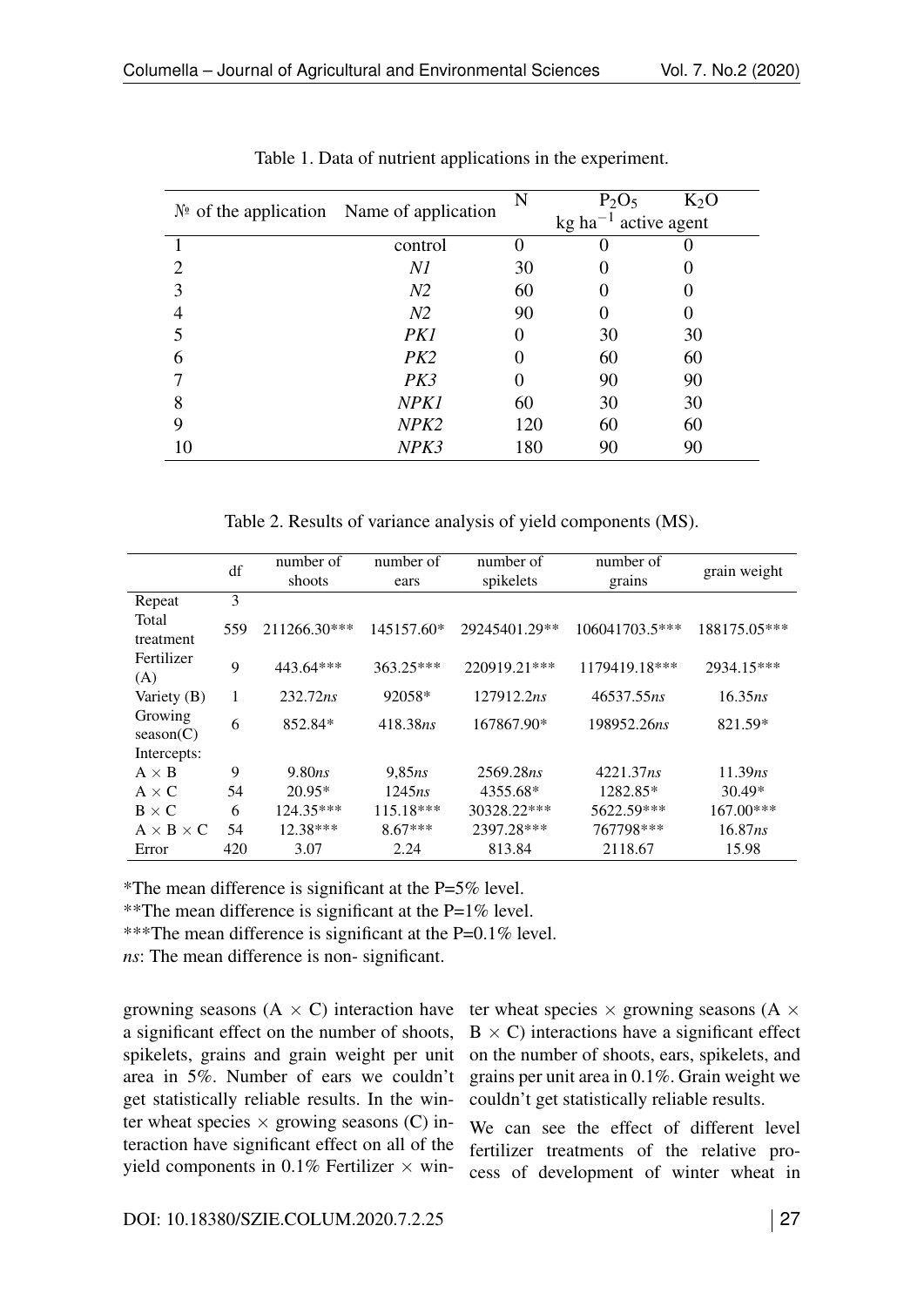|    | $N2$ of the application Name of application | N   | $P_2O_5$                           | $K_2O$ |
|----|---------------------------------------------|-----|------------------------------------|--------|
|    |                                             |     | $kg$ ha <sup>-1</sup> active agent |        |
|    | control                                     |     |                                    |        |
|    | Νl                                          | 30  |                                    |        |
|    | N <sub>2</sub>                              | 60  |                                    |        |
|    | N <sub>2</sub>                              | 90  |                                    |        |
|    | PK1                                         |     | 30                                 | 30     |
|    | PK2                                         |     | 60                                 | 60     |
|    | PK3                                         |     | 90                                 | 90     |
| 8  | NPK1                                        | 60  | 30                                 | 30     |
| 9  | NPK2                                        | 120 | 60                                 | 60     |
| 10 | NPK3                                        | 180 | 90                                 | 90     |

Table 1. Data of nutrient applications in the experiment.

Table 2. Results of variance analysis of yield components (MS).

|                       | df  | number of    | number of  | number of     | number of      | grain weight |
|-----------------------|-----|--------------|------------|---------------|----------------|--------------|
|                       |     | shoots       | ears       | spikelets     | grains         |              |
| Repeat                | 3   |              |            |               |                |              |
| Total<br>treatment    | 559 | 211266.30*** | 145157.60* | 29245401.29** | 106041703.5*** | 188175.05*** |
| Fertilizer<br>(A)     | 9   | 443.64***    | 363.25***  | 220919.21***  | 1179419.18***  | 2934.15***   |
| Variety (B)           | 1   | 232.72ns     | 92058*     | 127912.2ns    | 46537.55ns     | 16.35ns      |
| Growing<br>season(C)  | 6   | 852.84*      | 418.38ns   | 167867.90*    | 198952.26ns    | 821.59*      |
| Intercepts:           |     |              |            |               |                |              |
| $A \times B$          | 9   | 9.80ns       | 9,85ns     | 2569.28ns     | 4221.37ns      | 11.39ns      |
| $A \times C$          | 54  | $20.95*$     | 1245ns     | 4355.68*      | 1282.85*       | $30.49*$     |
| $B \times C$          | 6   | 124.35***    | 115.18***  | 30328.22***   | 5622.59***     | $167.00***$  |
| $A \times B \times C$ | 54  | $12.38***$   | $8.67***$  | 2397.28***    | 767798***      | 16.87ns      |
| Error                 | 420 | 3.07         | 2.24       | 813.84        | 2118.67        | 15.98        |

\*The mean difference is significant at the P=5% level.

\*\*The mean difference is significant at the  $P=1\%$  level.

\*\*\*The mean difference is significant at the P=0.1% level.

*ns*: The mean difference is non- significant.

growning seasons  $(A \times C)$  interaction have a significant effect on the number of shoots, spikelets, grains and grain weight per unit area in 5%. Number of ears we couldn't get statistically reliable results. In the winter wheat species  $\times$  growing seasons (C) interaction have significant effect on all of the yield components in 0.1% Fertilizer  $\times$  win-

ter wheat species  $\times$  growning seasons (A  $\times$  $B \times C$ ) interactions have a significant effect on the number of shoots, ears, spikelets, and grains per unit area in 0.1%. Grain weight we couldn't get statistically reliable results.

We can see the effect of different level fertilizer treatments of the relative process of development of winter wheat in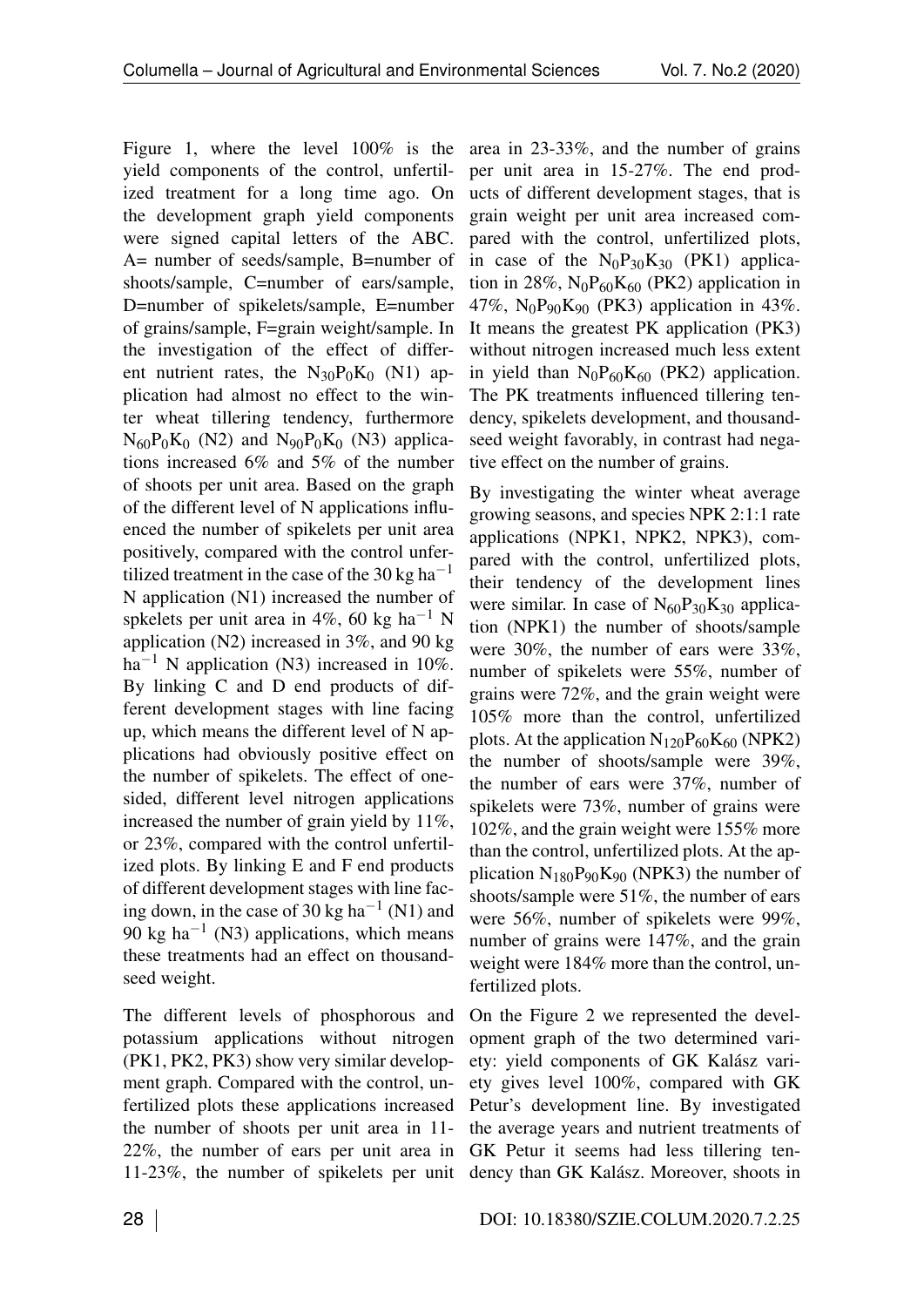Figure [1,](#page-0-1) where the level 100% is the yield components of the control, unfertilized treatment for a long time ago. On the development graph yield components were signed capital letters of the ABC. A= number of seeds/sample, B=number of shoots/sample, C=number of ears/sample, D=number of spikelets/sample, E=number of grains/sample, F=grain weight/sample. In the investigation of the effect of different nutrient rates, the  $N_{30}P_0K_0$  (N1) application had almost no effect to the winter wheat tillering tendency, furthermore  $N_{60}P_0K_0$  (N2) and  $N_{90}P_0K_0$  (N3) applications increased 6% and 5% of the number of shoots per unit area. Based on the graph of the different level of N applications influenced the number of spikelets per unit area positively, compared with the control unfertilized treatment in the case of the 30 kg ha<sup>-1</sup> N application (N1) increased the number of spkelets per unit area in 4%, 60 kg ha<sup>-1</sup> N application (N2) increased in 3%, and 90 kg  $ha^{-1}$  N application (N3) increased in 10%. By linking C and D end products of different development stages with line facing up, which means the different level of N applications had obviously positive effect on the number of spikelets. The effect of onesided, different level nitrogen applications increased the number of grain yield by 11%, or 23%, compared with the control unfertilized plots. By linking E and F end products of different development stages with line facing down, in the case of 30 kg ha<sup>-1</sup> (N1) and 90 kg ha<sup>-1</sup> (N3) applications, which means these treatments had an effect on thousandseed weight.

The different levels of phosphorous and potassium applications without nitrogen (PK1, PK2, PK3) show very similar development graph. Compared with the control, unfertilized plots these applications increased the number of shoots per unit area in 11- 22%, the number of ears per unit area in 11-23%, the number of spikelets per unit

area in 23-33%, and the number of grains per unit area in 15-27%. The end products of different development stages, that is grain weight per unit area increased compared with the control, unfertilized plots, in case of the  $N_0P_{30}K_{30}$  (PK1) application in 28%,  $N_0P_{60}K_{60}$  (PK2) application in 47%,  $N_0P_{90}K_{90}$  (PK3) application in 43%. It means the greatest PK application (PK3) without nitrogen increased much less extent in yield than  $N_0P_{60}K_{60}$  (PK2) application. The PK treatments influenced tillering tendency, spikelets development, and thousandseed weight favorably, in contrast had negative effect on the number of grains.

By investigating the winter wheat average growing seasons, and species NPK 2:1:1 rate applications (NPK1, NPK2, NPK3), compared with the control, unfertilized plots, their tendency of the development lines were similar. In case of  $N_{60}P_{30}K_{30}$  application (NPK1) the number of shoots/sample were 30%, the number of ears were 33%, number of spikelets were 55%, number of grains were 72%, and the grain weight were 105% more than the control, unfertilized plots. At the application  $N_{120}P_{60}K_{60}$  (NPK2) the number of shoots/sample were 39%, the number of ears were 37%, number of spikelets were 73%, number of grains were 102%, and the grain weight were 155% more than the control, unfertilized plots. At the application  $N_{180}P_{90}K_{90}$  (NPK3) the number of shoots/sample were 51%, the number of ears were 56%, number of spikelets were 99%, number of grains were 147%, and the grain weight were 184% more than the control, unfertilized plots.

On the Figure [2](#page-0-2) we represented the development graph of the two determined variety: yield components of GK Kalász variety gives level 100%, compared with GK Petur's development line. By investigated the average years and nutrient treatments of GK Petur it seems had less tillering tendency than GK Kalász. Moreover, shoots in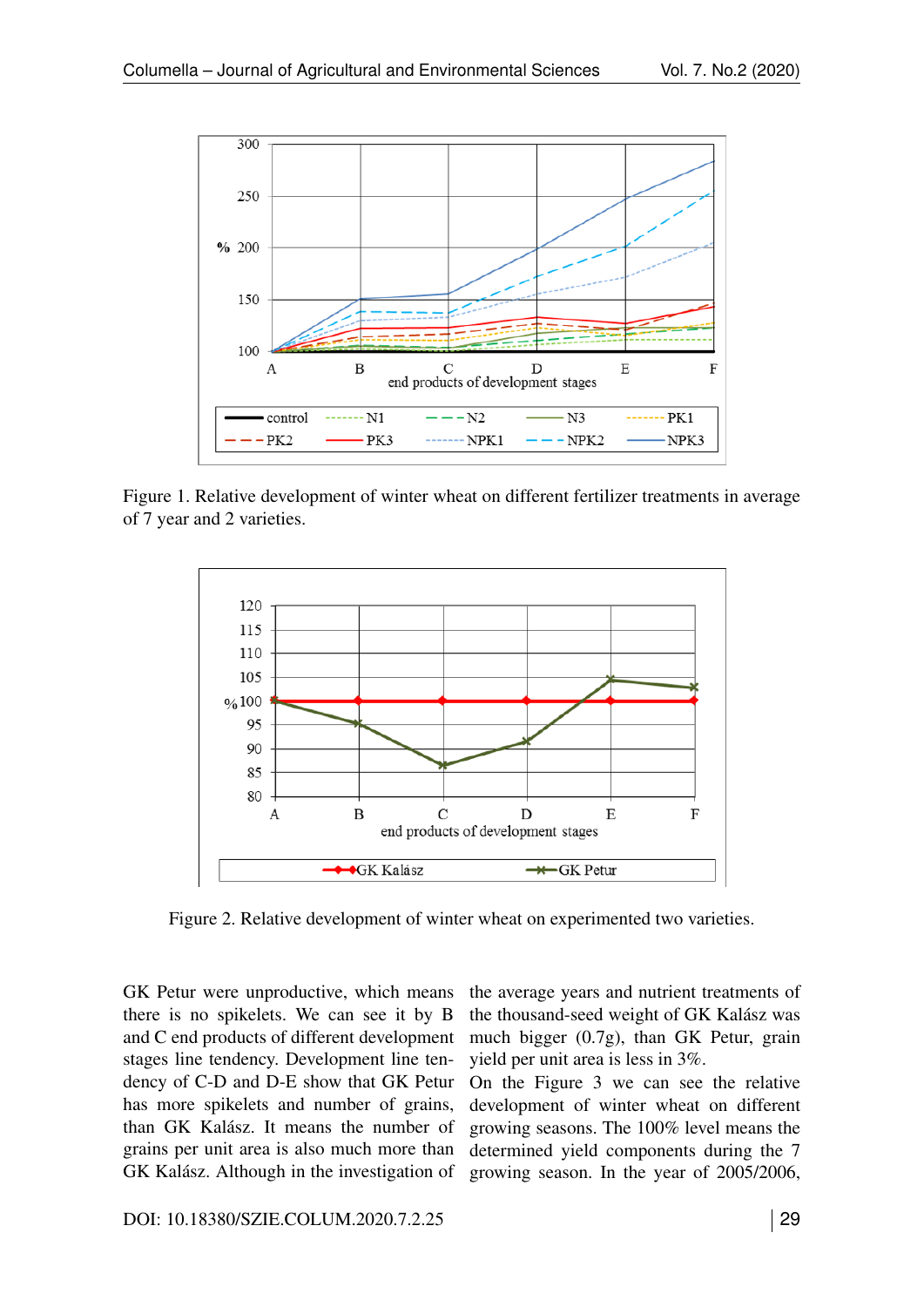

Figure 1. Relative development of winter wheat on different fertilizer treatments in average of 7 year and 2 varieties.



Figure 2. Relative development of winter wheat on experimented two varieties.

GK Petur were unproductive, which means there is no spikelets. We can see it by B and C end products of different development stages line tendency. Development line tendency of C-D and D-E show that GK Petur has more spikelets and number of grains, than GK Kalász. It means the number of grains per unit area is also much more than GK Kalász. Although in the investigation of the average years and nutrient treatments of the thousand-seed weight of GK Kalász was much bigger (0.7g), than GK Petur, grain yield per unit area is less in 3%.

On the Figure [3](#page-0-3) we can see the relative development of winter wheat on different growing seasons. The 100% level means the determined yield components during the 7 growing season. In the year of 2005/2006,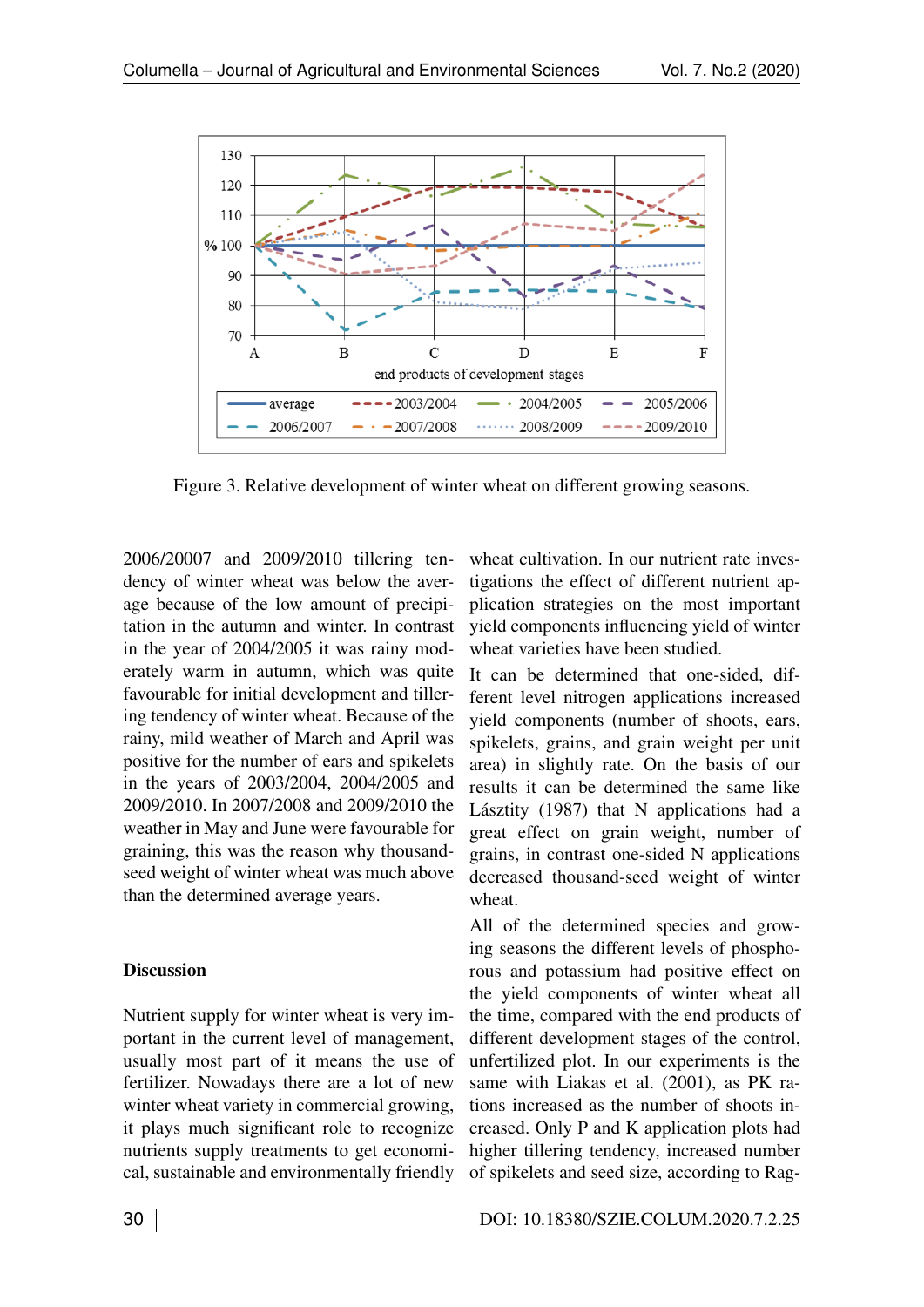

Figure 3. Relative development of winter wheat on different growing seasons.

2006/20007 and 2009/2010 tillering tendency of winter wheat was below the average because of the low amount of precipitation in the autumn and winter. In contrast in the year of 2004/2005 it was rainy moderately warm in autumn, which was quite favourable for initial development and tillering tendency of winter wheat. Because of the rainy, mild weather of March and April was positive for the number of ears and spikelets in the years of 2003/2004, 2004/2005 and 2009/2010. In 2007/2008 and 2009/2010 the weather in May and June were favourable for graining, this was the reason why thousandseed weight of winter wheat was much above than the determined average years.

### **Discussion**

Nutrient supply for winter wheat is very important in the current level of management, usually most part of it means the use of fertilizer. Nowadays there are a lot of new winter wheat variety in commercial growing, it plays much significant role to recognize nutrients supply treatments to get economical, sustainable and environmentally friendly wheat cultivation. In our nutrient rate investigations the effect of different nutrient application strategies on the most important yield components influencing yield of winter wheat varieties have been studied.

It can be determined that one-sided, different level nitrogen applications increased yield components (number of shoots, ears, spikelets, grains, and grain weight per unit area) in slightly rate. On the basis of our results it can be determined the same like Lásztity (1987) that N applications had a great effect on grain weight, number of grains, in contrast one-sided N applications decreased thousand-seed weight of winter wheat.

All of the determined species and growing seasons the different levels of phosphorous and potassium had positive effect on the yield components of winter wheat all the time, compared with the end products of different development stages of the control, unfertilized plot. In our experiments is the same with Liakas et al. (2001), as PK rations increased as the number of shoots increased. Only P and K application plots had higher tillering tendency, increased number of spikelets and seed size, according to Rag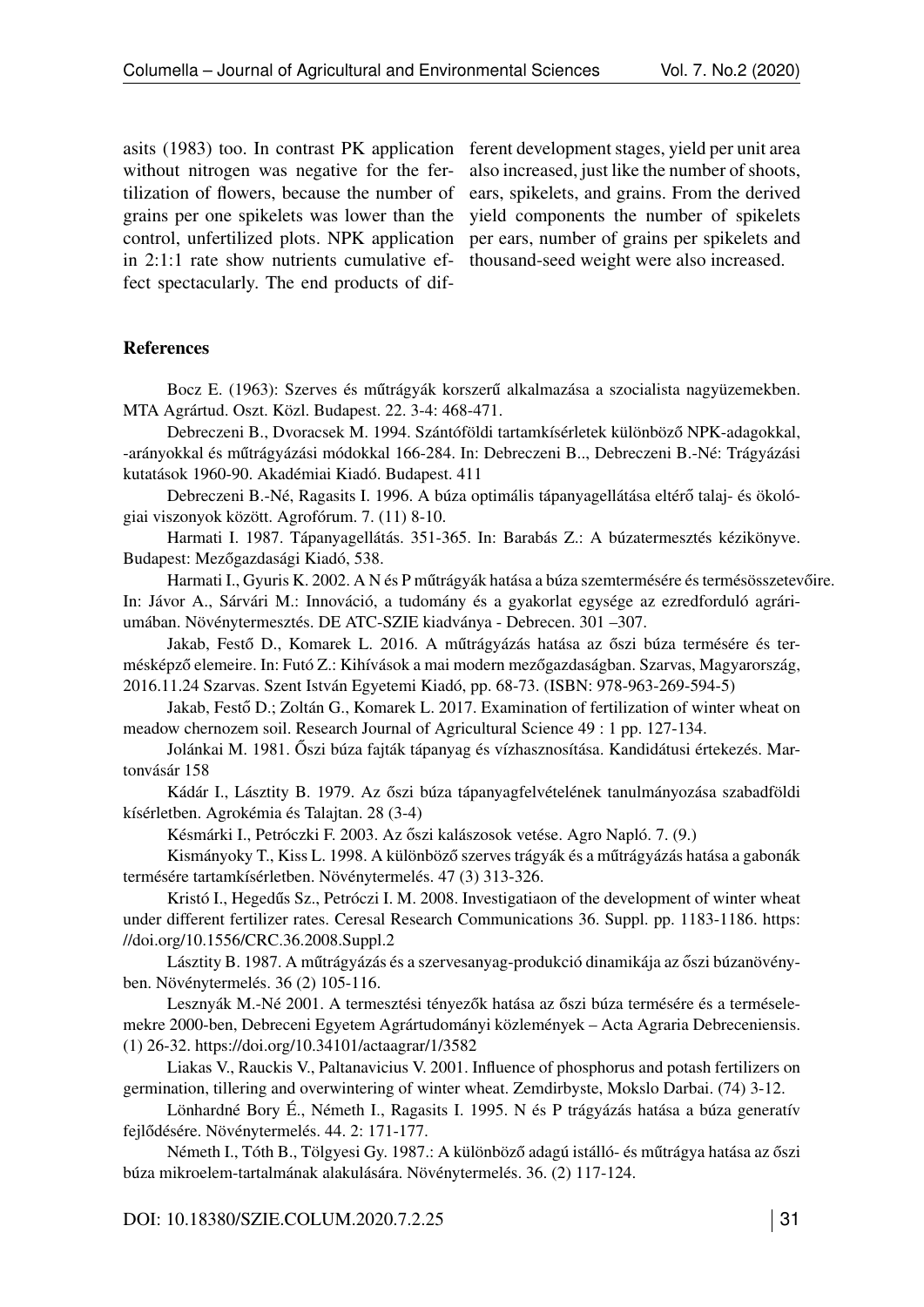asits (1983) too. In contrast PK application without nitrogen was negative for the fertilization of flowers, because the number of grains per one spikelets was lower than the control, unfertilized plots. NPK application in 2:1:1 rate show nutrients cumulative effect spectacularly. The end products of dif-

ferent development stages, yield per unit area also increased, just like the number of shoots, ears, spikelets, and grains. From the derived yield components the number of spikelets per ears, number of grains per spikelets and thousand-seed weight were also increased.

#### References

Bocz E. (1963): Szerves és műtrágyák korszerű alkalmazása a szocialista nagyüzemekben. MTA Agrártud. Oszt. Közl. Budapest. 22. 3-4: 468-471.

Debreczeni B., Dvoracsek M. 1994. Szántóföldi tartamkísérletek különböző NPK-adagokkal, -arányokkal és műtrágyázási módokkal 166-284. In: Debreczeni B.., Debreczeni B.-Né: Trágyázási kutatások 1960-90. Akadémiai Kiadó. Budapest. 411

Debreczeni B.-Né, Ragasits I. 1996. A búza optimális tápanyagellátása eltérő talaj- és ökológiai viszonyok között. Agrofórum. 7. (11) 8-10.

Harmati I. 1987. Tápanyagellátás. 351-365. In: Barabás Z.: A búzatermesztés kézikönyve. Budapest: Mezőgazdasági Kiadó, 538.

Harmati I., Gyuris K. 2002. A N és P műtrágyák hatása a búza szemtermésére és termésösszetevőire. In: Jávor A., Sárvári M.: Innováció, a tudomány és a gyakorlat egysége az ezredforduló agráriumában. Növénytermesztés. DE ATC-SZIE kiadványa - Debrecen. 301 –307.

Jakab, Festő D., Komarek L. 2016. A műtrágyázás hatása az őszi búza termésére és termésképző elemeire. In: Futó Z.: Kihívások a mai modern mezőgazdaságban. Szarvas, Magyarország, 2016.11.24 Szarvas. Szent István Egyetemi Kiadó, pp. 68-73. (ISBN: 978-963-269-594-5)

Jakab, Festő D.; Zoltán G., Komarek L. 2017. Examination of fertilization of winter wheat on meadow chernozem soil. Research Journal of Agricultural Science 49 : 1 pp. 127-134.

Jolánkai M. 1981. Őszi búza fajták tápanyag és vízhasznosítása. Kandidátusi értekezés. Martonvásár 158

Kádár I., Lásztity B. 1979. Az őszi búza tápanyagfelvételének tanulmányozása szabadföldi kísérletben. Agrokémia és Talajtan. 28 (3-4)

Késmárki I., Petróczki F. 2003. Az őszi kalászosok vetése. Agro Napló. 7. (9.)

Kismányoky T., Kiss L. 1998. A különböző szerves trágyák és a műtrágyázás hatása a gabonák termésére tartamkísérletben. Növénytermelés. 47 (3) 313-326.

Kristó I., Hegedűs Sz., Petróczi I. M. 2008. Investigatiaon of the development of winter wheat under different fertilizer rates. Ceresal Research Communications 36. Suppl. pp. 1183-1186. [https:](https://doi.org/10.1556/CRC.36.2008.Suppl.2) [//doi.org/10.1556/CRC.36.2008.Suppl.2](https://doi.org/10.1556/CRC.36.2008.Suppl.2)

Lásztity B. 1987. A műtrágyázás és a szervesanyag-produkció dinamikája az őszi búzanövényben. Növénytermelés. 36 (2) 105-116.

Lesznyák M.-Né 2001. A termesztési tényezők hatása az őszi búza termésére és a terméselemekre 2000-ben, Debreceni Egyetem Agrártudományi közlemények – Acta Agraria Debreceniensis. (1) 26-32.<https://doi.org/10.34101/actaagrar/1/3582>

Liakas V., Rauckis V., Paltanavicius V. 2001. Influence of phosphorus and potash fertilizers on germination, tillering and overwintering of winter wheat. Zemdirbyste, Mokslo Darbai. (74) 3-12.

Lönhardné Bory É., Németh I., Ragasits I. 1995. N és P trágyázás hatása a búza generatív fejlődésére. Növénytermelés. 44. 2: 171-177.

Németh I., Tóth B., Tölgyesi Gy. 1987.: A különböző adagú istálló- és műtrágya hatása az őszi búza mikroelem-tartalmának alakulására. Növénytermelés. 36. (2) 117-124.